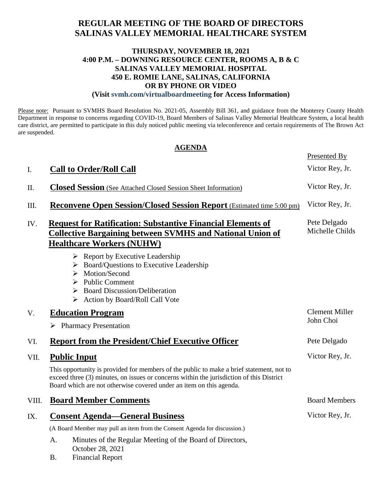# **REGULAR MEETING OF THE BOARD OF DIRECTORS SALINAS VALLEY MEMORIAL HEALTHCARE SYSTEM**

### **THURSDAY, NOVEMBER 18, 2021 4:00 P.M. – DOWNING RESOURCE CENTER, ROOMS A, B & C SALINAS VALLEY MEMORIAL HOSPITAL 450 E. ROMIE LANE, SALINAS, CALIFORNIA OR BY PHONE OR VIDEO**

**(Visit svmh.com/virtualboardmeeting for Access Information)**

Please note: Pursuant to SVMHS Board Resolution No. 2021-05, Assembly Bill 361, and guidance from the Monterey County Health Department in response to concerns regarding COVID-19, Board Members of Salinas Valley Memorial Healthcare System, a local health care district, are permitted to participate in this duly noticed public meeting via teleconference and certain requirements of The Brown Act are suspended.

#### **AGENDA**

|       |                                                                                                                                                                                                                                                             | Presented By                       |
|-------|-------------------------------------------------------------------------------------------------------------------------------------------------------------------------------------------------------------------------------------------------------------|------------------------------------|
| Ι.    | <b>Call to Order/Roll Call</b>                                                                                                                                                                                                                              | Victor Rey, Jr.                    |
| II.   | <b>Closed Session</b> (See Attached Closed Session Sheet Information)                                                                                                                                                                                       | Victor Rey, Jr.                    |
| III.  | <b>Reconvene Open Session/Closed Session Report</b> (Estimated time 5:00 pm)                                                                                                                                                                                | Victor Rey, Jr.                    |
| IV.   | <b>Request for Ratification: Substantive Financial Elements of</b><br><b>Collective Bargaining between SVMHS and National Union of</b><br><b>Healthcare Workers (NUHW)</b>                                                                                  | Pete Delgado<br>Michelle Childs    |
|       | $\triangleright$ Report by Executive Leadership<br>$\triangleright$ Board/Questions to Executive Leadership<br>Motion/Second<br>➤<br><b>Public Comment</b><br>➤<br>$\triangleright$ Board Discussion/Deliberation<br>> Action by Board/Roll Call Vote       |                                    |
| V.    | <b>Education Program</b>                                                                                                                                                                                                                                    | <b>Clement Miller</b><br>John Choi |
|       | $\triangleright$ Pharmacy Presentation                                                                                                                                                                                                                      |                                    |
| VI.   | <b>Report from the President/Chief Executive Officer</b>                                                                                                                                                                                                    | Pete Delgado                       |
| VII.  | <b>Public Input</b>                                                                                                                                                                                                                                         | Victor Rey, Jr.                    |
|       | This opportunity is provided for members of the public to make a brief statement, not to<br>exceed three (3) minutes, on issues or concerns within the jurisdiction of this District<br>Board which are not otherwise covered under an item on this agenda. |                                    |
| VIII. | <b>Board Member Comments</b>                                                                                                                                                                                                                                | <b>Board Members</b>               |
| IX.   | <b>Consent Agenda—General Business</b>                                                                                                                                                                                                                      | Victor Rey, Jr.                    |
|       | (A Board Member may pull an item from the Consent Agenda for discussion.)                                                                                                                                                                                   |                                    |
|       | Minutes of the Regular Meeting of the Board of Directors,<br>A.<br>October 28, 2021                                                                                                                                                                         |                                    |

B. Financial Report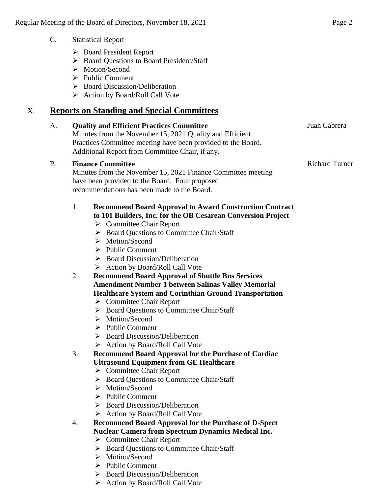- C. Statistical Report
	- Board President Report
	- ▶ Board Questions to Board President/Staff
	- > Motion/Second
	- $\triangleright$  Public Comment
	- $\triangleright$  Board Discussion/Deliberation
	- $\triangleright$  Action by Board/Roll Call Vote

# X. **Reports on Standing and Special Committees**

### A. **Quality and Efficient Practices Committee**

Minutes from the November 15, 2021 Quality and Efficient Practices Committee meeting have been provided to the Board. Additional Report from Committee Chair, if any.

#### B. **Finance Committee**

Minutes from the November 15, 2021 Finance Committee meeting have been provided to the Board. Four proposed recommendations has been made to the Board.

#### 1. **Recommend Board Approval to Award Construction Contract to 101 Builders, Inc. for the OB Cesarean Conversion Project**

- **►** Committee Chair Report
- ▶ Board Questions to Committee Chair/Staff
- > Motion/Second
- $\triangleright$  Public Comment
- $\triangleright$  Board Discussion/Deliberation
- $\triangleright$  Action by Board/Roll Call Vote
- 2. **Recommend Board Approval of Shuttle Bus Services Amendment Number 1 between Salinas Valley Memorial Healthcare System and Corinthian Ground Transportation**
	- **►** Committee Chair Report
	- ▶ Board Questions to Committee Chair/Staff
	- > Motion/Second
	- $\triangleright$  Public Comment
	- $\triangleright$  Board Discussion/Deliberation
	- ▶ Action by Board/Roll Call Vote
- 3. **Recommend Board Approval for the Purchase of Cardiac Ultrasound Equipment from GE Healthcare**
	- $\triangleright$  Committee Chair Report
	- ▶ Board Questions to Committee Chair/Staff
	- > Motion/Second
	- $\triangleright$  Public Comment
	- ▶ Board Discussion/Deliberation
	- $\triangleright$  Action by Board/Roll Call Vote
- 4. **Recommend Board Approval for the Purchase of D-Spect Nuclear Camera from Spectrum Dynamics Medical Inc.**
	- **►** Committee Chair Report
	- ▶ Board Ouestions to Committee Chair/Staff
	- > Motion/Second
	- $\triangleright$  Public Comment
	- $\triangleright$  Board Discussion/Deliberation
	- $\triangleright$  Action by Board/Roll Call Vote

Juan Cabrera

Richard Turner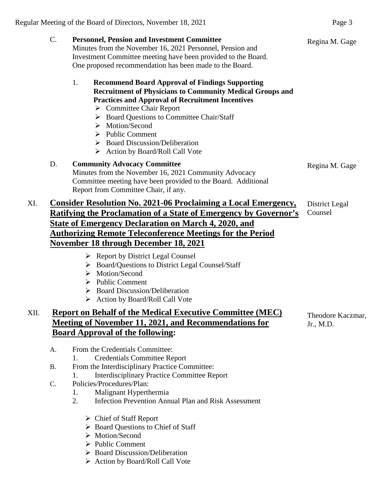- C. **Personnel, Pension and Investment Committee** Minutes from the November 16, 2021 Personnel, Pension and Investment Committee meeting have been provided to the Board. One proposed recommendation has been made to the Board. 1. **Recommend Board Approval of Findings Supporting Recruitment of Physicians to Community Medical Groups and Practices and Approval of Recruitment Incentives**  $\triangleright$  Committee Chair Report ▶ Board Questions to Committee Chair/Staff > Motion/Second  $\triangleright$  Public Comment  $\triangleright$  Board Discussion/Deliberation  $\triangleright$  Action by Board/Roll Call Vote Regina M. Gage D. **Community Advocacy Committee**  Minutes from the November 16, 2021 Community Advocacy Committee meeting have been provided to the Board. Additional Report from Committee Chair, if any. Regina M. Gage XI. **Consider Resolution No. 2021-06 Proclaiming a Local Emergency, Ratifying the Proclamation of a State of Emergency by Governor's State of Emergency Declaration on March 4, 2020, and Authorizing Remote Teleconference Meetings for the Period November 18 through December 18, 2021** District Legal Counsel
	- $\triangleright$  Report by District Legal Counsel
	- Board/Questions to District Legal Counsel/Staff
	- > Motion/Second
	- $\triangleright$  Public Comment
	- $\triangleright$  Board Discussion/Deliberation
	- $\triangleright$  Action by Board/Roll Call Vote

# XII. **Report on Behalf of the Medical Executive Committee (MEC) Meeting of November 11, 2021, and Recommendations for Board Approval of the following:**

Theodore Kaczmar, Jr., M.D.

- A. From the Credentials Committee:
	- 1. Credentials Committee Report
- B. From the Interdisciplinary Practice Committee:
	- 1. Interdisciplinary Practice Committee Report
- C. Policies/Procedures/Plan:
	- 1. Malignant Hyperthermia
	- 2. Infection Prevention Annual Plan and Risk Assessment
		- Chief of Staff Report
		- ▶ Board Questions to Chief of Staff
		- Motion/Second
		- $\triangleright$  Public Comment
		- Board Discussion/Deliberation
		- $\triangleright$  Action by Board/Roll Call Vote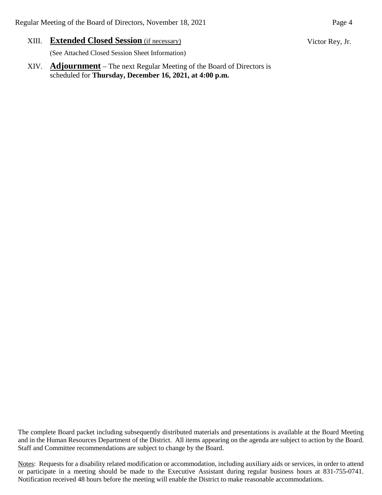XIII. **Extended Closed Session** (if necessary)

(See Attached Closed Session Sheet Information)

XIV. **Adjournment** – The next Regular Meeting of the Board of Directors is scheduled for **Thursday, December 16, 2021, at 4:00 p.m.**

The complete Board packet including subsequently distributed materials and presentations is available at the Board Meeting and in the Human Resources Department of the District. All items appearing on the agenda are subject to action by the Board. Staff and Committee recommendations are subject to change by the Board.

Notes: Requests for a disability related modification or accommodation, including auxiliary aids or services, in order to attend or participate in a meeting should be made to the Executive Assistant during regular business hours at 831-755-0741. Notification received 48 hours before the meeting will enable the District to make reasonable accommodations.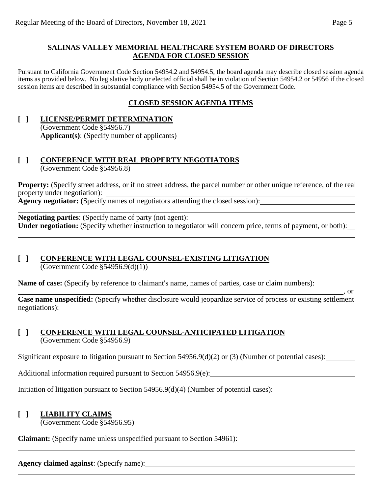#### **SALINAS VALLEY MEMORIAL HEALTHCARE SYSTEM BOARD OF DIRECTORS AGENDA FOR CLOSED SESSION**

Pursuant to California Government Code Section 54954.2 and 54954.5, the board agenda may describe closed session agenda items as provided below. No legislative body or elected official shall be in violation of Section 54954.2 or 54956 if the closed session items are described in substantial compliance with Section 54954.5 of the Government Code.

# **CLOSED SESSION AGENDA ITEMS**

#### **[ ] LICENSE/PERMIT DETERMINATION** (Government Code §54956.7) **Applicant(s)**: (Specify number of applicants)

#### **[ ] CONFERENCE WITH REAL PROPERTY NEGOTIATORS** (Government Code §54956.8)

**Property:** (Specify street address, or if no street address, the parcel number or other unique reference, of the real property under negotiation):

**Agency negotiator:** (Specify names of negotiators attending the closed session):

**Negotiating parties**: (Specify name of party (not agent): **Under negotiation:** (Specify whether instruction to negotiator will concern price, terms of payment, or both):

# **[ ] CONFERENCE WITH LEGAL COUNSEL-EXISTING LITIGATION**

 $\overline{(Government Code §54956.9(d)(1))}$ 

**Name of case:** (Specify by reference to claimant's name, names of parties, case or claim numbers):

 $\overline{\phantom{0}}$ , or **Case name unspecified:** (Specify whether disclosure would jeopardize service of process or existing settlement negotiations):

#### **[ ] CONFERENCE WITH LEGAL COUNSEL-ANTICIPATED LITIGATION** (Government Code §54956.9)

Significant exposure to litigation pursuant to Section 54956.9(d)(2) or (3) (Number of potential cases):

Additional information required pursuant to Section 54956.9(e):

Initiation of litigation pursuant to Section 54956.9(d)(4) (Number of potential cases):

# **[ ] LIABILITY CLAIMS**

(Government Code §54956.95)

**Claimant:** (Specify name unless unspecified pursuant to Section 54961):

**Agency claimed against**: (Specify name):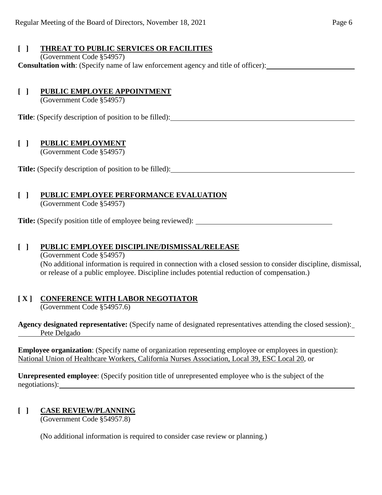# **[ ] THREAT TO PUBLIC SERVICES OR FACILITIES**

(Government Code §54957)

**Consultation with**: (Specify name of law enforcement agency and title of officer):

# **[ ] PUBLIC EMPLOYEE APPOINTMENT**

(Government Code §54957)

**Title**: (Specify description of position to be filled):

# **[ ] PUBLIC EMPLOYMENT**

(Government Code §54957)

**Title:** (Specify description of position to be filled):

# **[ ] PUBLIC EMPLOYEE PERFORMANCE EVALUATION**

(Government Code §54957)

**Title:** (Specify position title of employee being reviewed):

### **[ ] PUBLIC EMPLOYEE DISCIPLINE/DISMISSAL/RELEASE**

(Government Code §54957) (No additional information is required in connection with a closed session to consider discipline, dismissal, or release of a public employee. Discipline includes potential reduction of compensation.)

# **[ X ] CONFERENCE WITH LABOR NEGOTIATOR**

(Government Code §54957.6)

**Agency designated representative:** (Specify name of designated representatives attending the closed session): Pete Delgado

**Employee organization**: (Specify name of organization representing employee or employees in question): National Union of Healthcare Workers, California Nurses Association, Local 39, ESC Local 20, or

**Unrepresented employee**: (Specify position title of unrepresented employee who is the subject of the negotiations):

# **[ ] CASE REVIEW/PLANNING**

(Government Code §54957.8)

(No additional information is required to consider case review or planning.)